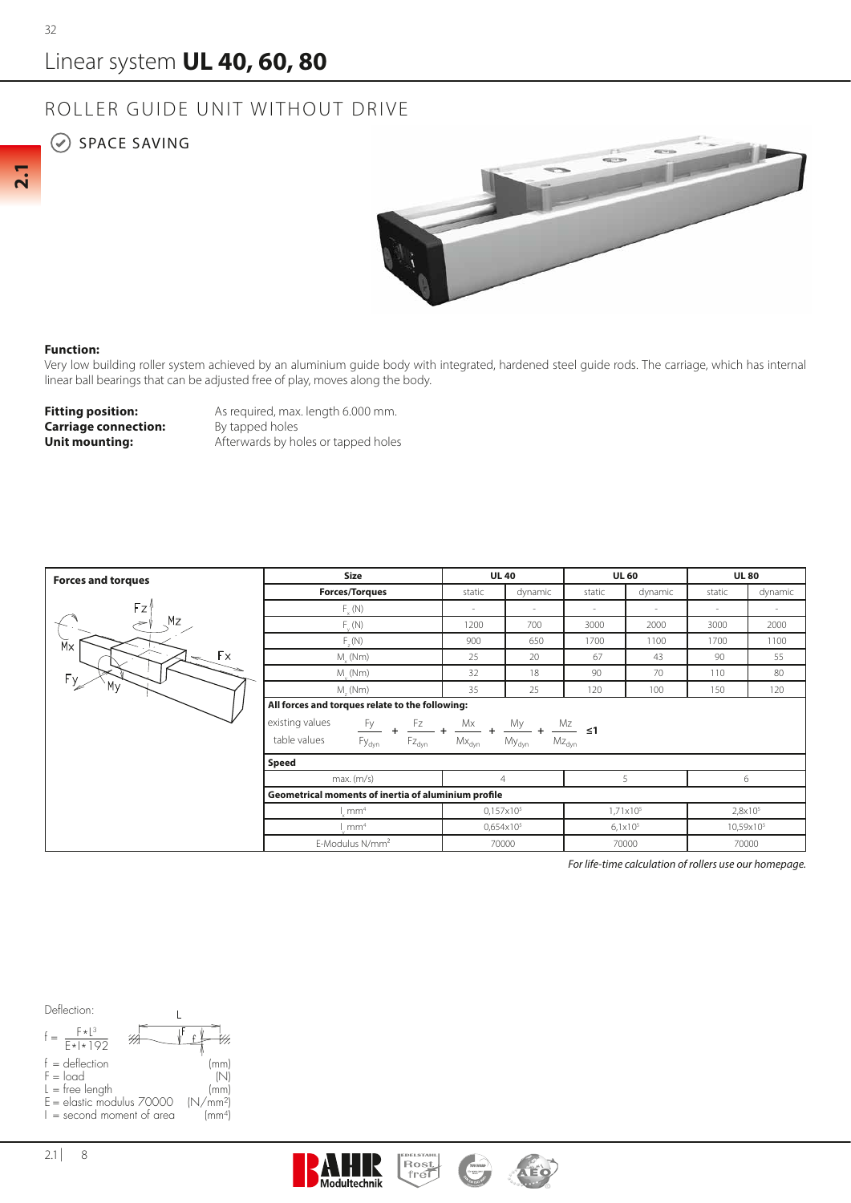**2.1**

## Linear system **UL 40, 60, 80**

## ROLLER GUIDE UNIT WITHOUT DRIVE

## $\odot$  SPACE SAVING



## **Function:**

Very low building roller system achieved by an aluminium guide body with integrated, hardened steel guide rods. The carriage, which has internal linear ball bearings that can be adjusted free of play, moves along the body.

**Carriage connection:**<br>Unit mounting:

**Fitting position:** As required, max. length 6.000 mm.<br>**Carriage connection:** By tapped holes Afterwards by holes or tapped holes

| <b>Forces and torques</b>       | Size                                                                                                                                                                                                                                                                                                                                                        | <b>UL 40</b>        |         | <b>UL 60</b>        |         | <b>UL80</b>              |         |
|---------------------------------|-------------------------------------------------------------------------------------------------------------------------------------------------------------------------------------------------------------------------------------------------------------------------------------------------------------------------------------------------------------|---------------------|---------|---------------------|---------|--------------------------|---------|
|                                 | <b>Forces/Torques</b>                                                                                                                                                                                                                                                                                                                                       | static              | dynamic | static              | dynamic | static                   | dynamic |
| Fz'                             | $F_{y}(N)$                                                                                                                                                                                                                                                                                                                                                  | $\sim$              | $\sim$  | $\sim$              | ٠       | $\overline{\phantom{a}}$ | $\sim$  |
| Mz<br>÷                         | $F_{u}(N)$                                                                                                                                                                                                                                                                                                                                                  | 1200                | 700     | 3000                | 2000    | 3000                     | 2000    |
| $\overline{M}$                  | $F_{\alpha}(N)$                                                                                                                                                                                                                                                                                                                                             | 900                 | 650     | 1700                | 1100    | 1700                     | 1100    |
| Fx.<br>$\overline{\phantom{a}}$ | $M_{\odot}$ (Nm)                                                                                                                                                                                                                                                                                                                                            | 25                  | 20      | 67                  | 43      | 90                       | 55      |
| Fy.                             | $M_{\nu}$ (Nm)                                                                                                                                                                                                                                                                                                                                              | 32                  | 18      | 90                  | 70      | 110                      | 80      |
| My                              | $M_{1}(Nm)$                                                                                                                                                                                                                                                                                                                                                 | 35                  | 25      | 120                 | 100     | 150                      | 120     |
|                                 | All forces and torques relate to the following:                                                                                                                                                                                                                                                                                                             |                     |         |                     |         |                          |         |
|                                 | existing values<br>$\frac{{\sf F}{\sf y}}{\sf F}{\sf y}_{\sf dyn} \  \, \, + \  \, \frac{{\sf F}{\sf z}}{\sf F}{\sf Z}_{\sf dyn} \  \, + \  \, \frac{{\sf M}{\sf x}}{\sf M}{\sf x}_{\sf dyn} \  \, + \  \, \frac{{\sf M}{\sf y}}{\sf M}{\sf y}_{\sf dyn} \  \, + \  \, \frac{{\sf M}{\sf z}}{\sf M}{\sf Z}_{\sf dyn} \  \, \leq \! {\bf 1}$<br>table values |                     |         |                     |         |                          |         |
|                                 |                                                                                                                                                                                                                                                                                                                                                             |                     |         |                     |         |                          |         |
|                                 | <b>Speed</b>                                                                                                                                                                                                                                                                                                                                                |                     |         |                     |         |                          |         |
|                                 | max.(m/s)                                                                                                                                                                                                                                                                                                                                                   | $\overline{4}$      |         | 5                   |         | 6                        |         |
|                                 | Geometrical moments of inertia of aluminium profile                                                                                                                                                                                                                                                                                                         |                     |         |                     |         |                          |         |
|                                 | mm <sup>4</sup>                                                                                                                                                                                                                                                                                                                                             | $0,157\times10^{5}$ |         | $1,71\times10^{5}$  |         | 2,8x10 <sup>5</sup>      |         |
|                                 | mm <sup>4</sup>                                                                                                                                                                                                                                                                                                                                             | $0,654\times10^{5}$ |         | 6,1x10 <sup>5</sup> |         | 10,59x10 <sup>5</sup>    |         |
|                                 | E-Modulus N/mm <sup>2</sup><br>70000                                                                                                                                                                                                                                                                                                                        |                     |         | 70000               |         | 70000                    |         |

*For life-time calculation of rollers use our homepage.*